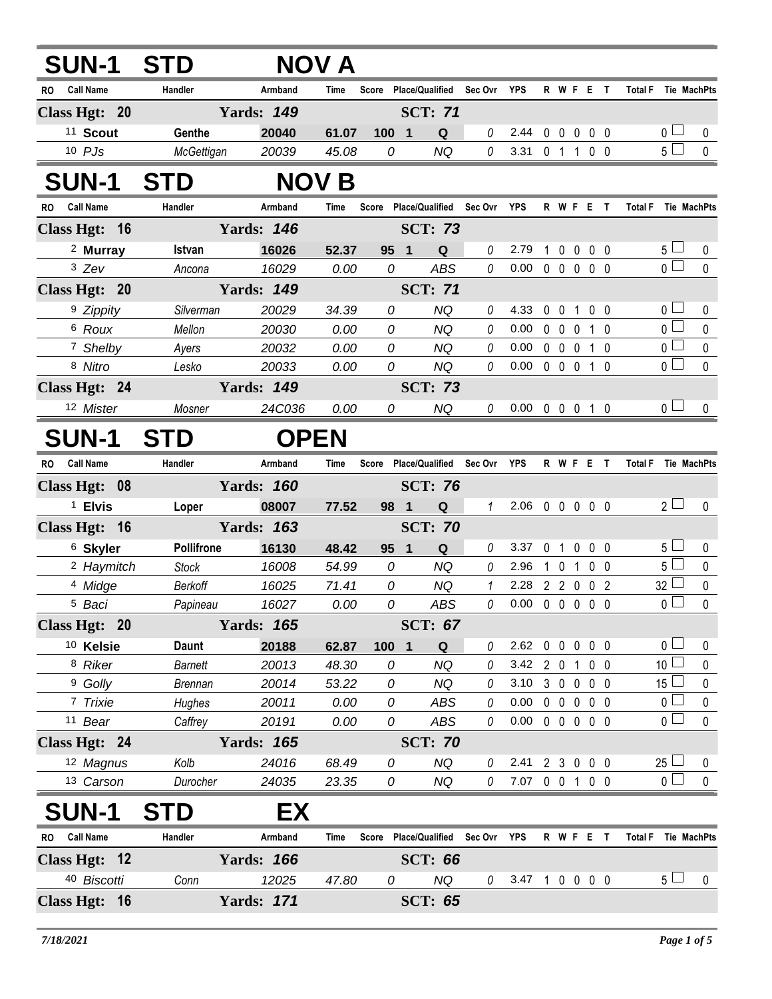| <b>SUN-1</b>            | <b>STD</b>     |                   | NOV A        |       |                                   |          |                            |                     |                   |                   |                |                            |              |
|-------------------------|----------------|-------------------|--------------|-------|-----------------------------------|----------|----------------------------|---------------------|-------------------|-------------------|----------------|----------------------------|--------------|
| Call Name<br>RO.        | Handler        | Armband           | Time         |       | Score Place/Qualified Sec Ovr YPS |          |                            |                     |                   | R W F E T         |                | <b>Total F</b> Tie MachPts |              |
| Class Hgt: 20           |                | <b>Yards: 149</b> |              |       | <b>SCT: 71</b>                    |          |                            |                     |                   |                   |                |                            |              |
| <sup>11</sup> Scout     | Genthe         | 20040             | 61.07        | 100   | Q<br>$\blacksquare$               | 0        | 2.44 0 0 0 0 0             |                     |                   |                   |                | $0 \sqcup$                 | 0            |
| $10$ $PJs$              | McGettigan     | 20039             | 45.08        | 0     | <b>NQ</b>                         | 0        | 3.31 0 1 1 0 0             |                     |                   |                   |                | 5 <sub>1</sub>             | $\pmb{0}$    |
| <b>SUN-1</b>            | <b>STD</b>     |                   | <b>NOV B</b> |       |                                   |          |                            |                     |                   |                   |                |                            |              |
| <b>Call Name</b><br>RO. | Handler        | Armband           | Time         | Score | Place/Qualified Sec Ovr YPS       |          |                            |                     |                   | R W F E T         |                | <b>Total F</b> Tie MachPts |              |
| Class Hgt: 16           |                | <b>Yards: 146</b> |              |       | <b>SCT: 73</b>                    |          |                            |                     |                   |                   |                |                            |              |
| <sup>2</sup> Murray     | Istvan         | 16026             | 52.37        | 95 1  | Q                                 | 0        | 2.79                       | 1                   | 0<br>$\mathbf 0$  | 0 <sub>0</sub>    |                | $5 \perp$                  | 0            |
| $3$ Zev                 | Ancona         | 16029             | 0.00         | 0     | <b>ABS</b>                        | $\it{0}$ | $0.00 \t0 \t0 \t0 \t0 \t0$ |                     |                   |                   |                | $\overline{0}$             | 0            |
| Class Hgt: 20           |                | <b>Yards: 149</b> |              |       | <b>SCT: 71</b>                    |          |                            |                     |                   |                   |                |                            |              |
| <sup>9</sup> Zippity    | Silverman      | 20029             | 34.39        | 0     | <b>NQ</b>                         | $\theta$ | 4.33                       | $\ddot{\mathbf{0}}$ | $\mathbf 0$<br>1  | $0\quad 0$        |                | 0 <sub>1</sub>             | 0            |
| 6 Roux                  | Mellon         | 20030             | 0.00         | 0     | <b>NQ</b>                         | $\it{0}$ | 0.00                       |                     | $0\quad 0\quad 0$ | 1 0               |                | $\overline{0}$             | $\pmb{0}$    |
| 7 Shelby                | Ayers          | 20032             | 0.00         | 0     | <b>NQ</b>                         | $\theta$ | $0.00 \t0 \t0 \t0 \t1 \t0$ |                     |                   |                   |                | $\overline{0}$             | $\pmb{0}$    |
| 8 Nitro                 | Lesko          | 20033             | 0.00         | 0     | <b>NQ</b>                         | 0        | $0.00 \t0 \t0 \t0 \t1 \t0$ |                     |                   |                   |                | $\overline{0}$             | $\pmb{0}$    |
| Class Hgt: 24           |                | <b>Yards: 149</b> |              |       | <b>SCT: 73</b>                    |          |                            |                     |                   |                   |                |                            |              |
| 12 Mister               | Mosner         | 24C036            | 0.00         | 0     | <b>NQ</b>                         | 0        | $0.00 \t0 \t0 \t0 \t1 \t0$ |                     |                   |                   |                | $\overline{0}$             | 0            |
| <b>SUN-1</b>            | <b>STD</b>     | <b>OPEN</b>       |              |       |                                   |          |                            |                     |                   |                   |                |                            |              |
| <b>Call Name</b><br>RO. | Handler        | Armband           | Time         | Score | <b>Place/Qualified</b>            | Sec Ovr  | <b>YPS</b>                 |                     |                   | R W F E T         | <b>Total F</b> | Tie MachPts                |              |
| Class Hgt: 08           |                | <b>Yards: 160</b> |              |       | <b>SCT: 76</b>                    |          |                            |                     |                   |                   |                |                            |              |
| <sup>1</sup> Elvis      | Loper          | 08007             | 77.52        | 98 1  | Q                                 | 1        | 2.06 0 0 0 0 0             |                     |                   |                   |                | $2\sqcup$                  | $\mathbf{0}$ |
| Class Hgt: 16           |                | <b>Yards: 163</b> |              |       | <b>SCT: 70</b>                    |          |                            |                     |                   |                   |                |                            |              |
| <sup>6</sup> Skyler     | Pollifrone     | 16130             | 48.42        | 95 1  | Q                                 | $\theta$ | 3.37                       | 0 <sub>1</sub>      |                   | $0\quad 0\quad 0$ |                | 5 <sub>1</sub>             | 0            |
| <sup>2</sup> Haymitch   | <b>Stock</b>   | 16008             | 54.99        | 0     | <b>NQ</b>                         | 0        | 2.96                       | $\mathbf{1}$        | $\mathbf 0$       | 1 0 0             |                | $5\Box$                    | $\pmb{0}$    |
| 4 Midge                 | Berkoff        | 16025             | 71.41        | 0     | NQ                                | 1        | 2.28                       |                     |                   | 2 2 0 0 2         |                | $32 -$                     | $\pmb{0}$    |
| <sup>5</sup> Baci       | Papineau       | 16027             | 0.00         | 0     | <b>ABS</b>                        | $\theta$ | 0.00                       | $\overline{0}$      | $0\quad 0$        | 0 <sub>0</sub>    |                | $\overline{0}$             | $\mathbf 0$  |
| Class Hgt: 20           |                | <b>Yards: 165</b> |              |       | <b>SCT: 67</b>                    |          |                            |                     |                   |                   |                |                            |              |
| 10 Kelsie               | <b>Daunt</b>   | 20188             | 62.87        | 100 1 | Q                                 | 0        | 2.62 0 0 0 0 0             |                     |                   |                   |                | 0 <sup>2</sup>             | 0            |
| 8 Riker                 | <b>Barnett</b> | 20013             | 48.30        | 0     | <b>NQ</b>                         | 0        | 3.42 2 0 1 0 0             |                     |                   |                   |                | 10 <sup>°</sup>            | 0            |
| <sup>9</sup> Golly      | <b>Brennan</b> | 20014             | 53.22        | 0     | <b>NQ</b>                         | 0        | 3.10                       | 3 0                 |                   | $0\quad 0\quad 0$ |                | 15 $\lfloor$               | 0            |
| 7 Trixie                | Hughes         | 20011             | 0.00         | 0     | ABS                               | 0        | $0.00 \t0 \t0 \t0 \t0 \t0$ |                     |                   |                   |                | 0 <sup>2</sup>             | 0            |
| 11 Bear                 | Caffrey        | 20191             | 0.00         | 0     | ABS                               | 0        | $0.00 \t0 \t0 \t0 \t0 \t0$ |                     |                   |                   |                | 0 <sup>2</sup>             | 0            |
| Class Hgt: 24           |                | <b>Yards: 165</b> |              |       | <b>SCT: 70</b>                    |          |                            |                     |                   |                   |                |                            |              |
| 12 Magnus               | Kolb           | 24016             | 68.49        | 0     | <b>NQ</b>                         | $\theta$ | 2.41 2 3 0 0 0             |                     |                   |                   |                | 25 <sub>2</sub>            | $\pmb{0}$    |
| 13 Carson               | Durocher       | 24035             | 23.35        | 0     | <b>NQ</b>                         | 0        | $7.07 \t 0 \t 0$           |                     |                   | 1 0 0             |                | $\overline{0}$             | $\pmb{0}$    |
| <b>SUN-1</b>            | <b>STD</b>     | EX                |              |       |                                   |          |                            |                     |                   |                   |                |                            |              |
| RO Call Name            | Handler        | Armband           | Time         |       | Score Place/Qualified Sec Ovr YPS |          |                            |                     |                   | R W F E T         |                | Total F Tie MachPts        |              |
| Class Hgt: 12           |                | <b>Yards: 166</b> |              |       | <b>SCT: 66</b>                    |          |                            |                     |                   |                   |                |                            |              |
| 40 Biscotti             | Conn           | 12025             | 47.80        | 0     | <b>NQ</b>                         | $\it{0}$ | 3.47 1 0 0 0 0             |                     |                   |                   |                | $5\Box$                    | 0            |
| Class Hgt: 16           |                | <b>Yards: 171</b> |              |       | <b>SCT: 65</b>                    |          |                            |                     |                   |                   |                |                            |              |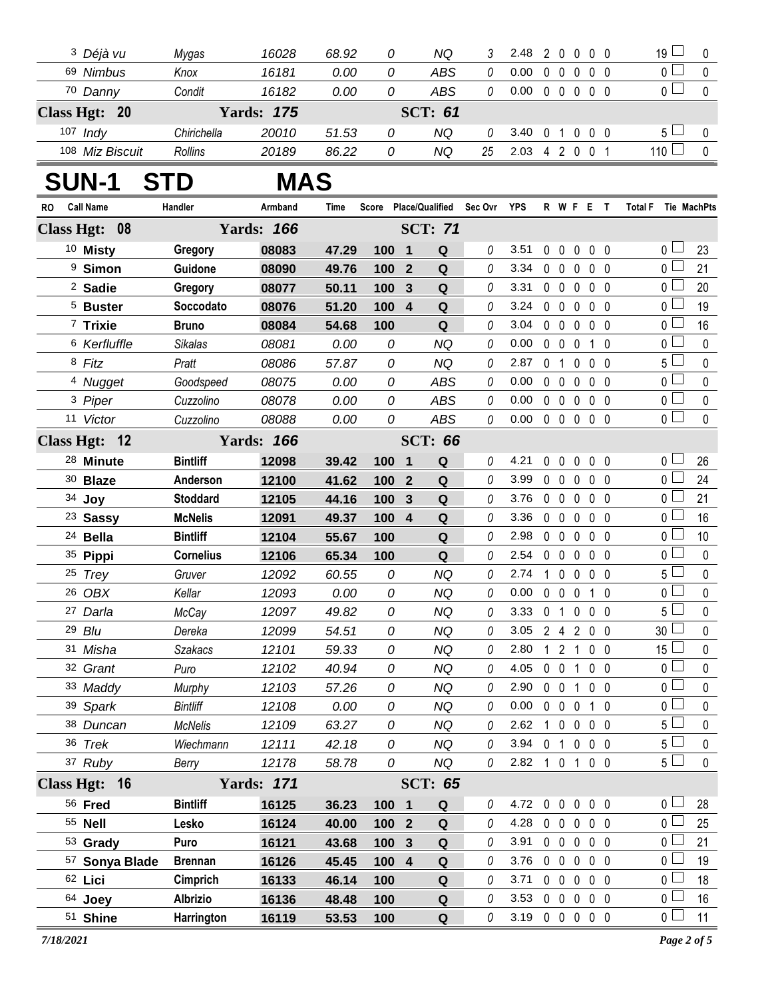|    | <sup>3</sup> Déjà vu    | Mygas            | 16028             | 68.92       | 0     |                         | ΝQ                    |          | 2.48                       |                |                   |             | 20000      | $19 \Box$           | 0            |
|----|-------------------------|------------------|-------------------|-------------|-------|-------------------------|-----------------------|----------|----------------------------|----------------|-------------------|-------------|------------|---------------------|--------------|
|    | 69 Nimbus               | Knox             | 16181             | 0.00        | 0     |                         | <b>ABS</b>            | 0        | 0.00                       |                |                   |             | 00000      | $\overline{0}$      | $\mathbf 0$  |
|    | 70 Danny                | Condit           | 16182             | 0.00        | 0     |                         | ABS                   | $\it{0}$ | $0.00 \t0 \t0 \t0 \t0 \t0$ |                |                   |             |            | 0 <sub>0</sub>      | $\mathbf 0$  |
|    | Class Hgt: 20           |                  | <b>Yards: 175</b> |             |       |                         | <b>SCT: 61</b>        |          |                            |                |                   |             |            |                     |              |
|    | 107 Indy                | Chirichella      | 20010             | 51.53       | 0     |                         | <b>NQ</b>             | 0        | 3.40                       | 0 <sub>1</sub> |                   | $\mathbf 0$ | $0\quad 0$ | $5\perp$            | $\mathbf 0$  |
|    | 108 Miz Biscuit         | Rollins          | 20189             | 86.22       | 0     |                         | <b>NQ</b>             | 25       | 2.03 4 2 0 0 1             |                |                   |             |            | 110 $\Box$          | $\mathbf 0$  |
|    | <b>SUN-1</b>            | <b>STD</b>       | <b>MAS</b>        |             |       |                         |                       |          |                            |                |                   |             |            |                     |              |
| RO | <b>Call Name</b>        | Handler          | Armband           | <b>Time</b> |       |                         | Score Place/Qualified | Sec Ovr  | YPS                        |                |                   |             | R W F E T  | Total F Tie MachPts |              |
|    | Class Hgt: 08           |                  | <b>Yards: 166</b> |             |       |                         | <b>SCT: 71</b>        |          |                            |                |                   |             |            |                     |              |
|    | 10 Misty                | Gregory          | 08083             | 47.29       | 100   | $\blacksquare$          | Q                     | 0        | 3.51                       |                |                   |             | 00000      | 0 L                 | 23           |
|    | <sup>9</sup> Simon      | Guidone          | 08090             | 49.76       | 100 2 |                         | Q                     | $\theta$ | 3.34 0 0 0 0 0             |                |                   |             |            | 0 <sup>2</sup>      | 21           |
|    | <sup>2</sup> Sadie      | Gregory          | 08077             | 50.11       | 100   | $\overline{\mathbf{3}}$ | $\mathbf Q$           | 0        | 3.31                       |                |                   |             | 00000      | οl                  | 20           |
|    | <sup>5</sup> Buster     | Soccodato        | 08076             | 51.20       | 100 4 |                         | $\mathbf Q$           | 0        | 3.24 0 0 0 0 0             |                |                   |             |            | 0 <sup>2</sup>      | 19           |
|    | 7 Trixie                | <b>Bruno</b>     | 08084             | 54.68       | 100   |                         | Q                     | 0        | 3.04                       |                |                   |             | 00000      | 0 <sup>2</sup>      | 16           |
|    | <sup>6</sup> Kerfluffle | <b>Sikalas</b>   | 08081             | 0.00        | 0     |                         | <b>NQ</b>             | $\theta$ | 0.00                       |                | $0\quad 0\quad 0$ |             | 1 0        | $\overline{0}$      | $\mathbf 0$  |
|    | 8 Fitz                  | Pratt            | 08086             | 57.87       | 0     |                         | <b>NQ</b>             | 0        | 2.87                       |                |                   |             | 0 1 0 0 0  | $5\Box$             | $\mathbf 0$  |
|    | <sup>4</sup> Nugget     | Goodspeed        | 08075             | 0.00        | 0     |                         | <b>ABS</b>            | $\theta$ | 0.00                       |                |                   |             | 00000      | $\overline{0}$      | $\mathbf 0$  |
|    | 3 Piper                 | Cuzzolino        | 08078             | 0.00        | 0     |                         | ABS                   | 0        | 0.00                       |                |                   |             | 0 0 0 0 0  | 0                   | $\mathbf 0$  |
|    | 11 Victor               | Cuzzolino        | 08088             | 0.00        | 0     |                         | <b>ABS</b>            | 0        | $0.00 \t0 \t0 \t0 \t0 \t0$ |                |                   |             |            | $\overline{0}$      | $\mathbf 0$  |
|    | Class Hgt: 12           |                  | <b>Yards: 166</b> |             |       |                         | <b>SCT: 66</b>        |          |                            |                |                   |             |            |                     |              |
|    | <sup>28</sup> Minute    | <b>Bintliff</b>  | 12098             | 39.42       | 100 1 |                         | Q                     | $\theta$ | 4.21                       |                |                   |             | 00000      | 0 <sub>0</sub>      | 26           |
|    | 30 Blaze                | Anderson         | 12100             | 41.62       | 100 2 |                         | Q                     | $\theta$ | 3.99                       |                |                   |             | 00000      | 0 L                 | 24           |
|    | 34 Joy                  | <b>Stoddard</b>  | 12105             | 44.16       | 100   | $\overline{\mathbf{3}}$ | Q                     | 0        | 3.76                       |                |                   |             | 00000      | 0 L                 | 21           |
|    | <sup>23</sup> Sassy     | <b>McNelis</b>   | 12091             | 49.37       | 100 4 |                         | Q                     | $\theta$ | 3.36                       |                |                   |             | 00000      | 0 <sup>L</sup>      | 16           |
|    | 24 Bella                | <b>Bintliff</b>  | 12104             | 55.67       | 100   |                         | $\mathbf Q$           | 0        | 2.98                       |                |                   |             | 00000      | 0 L                 | 10           |
|    | 35 Pippi                | <b>Cornelius</b> | 12106             | 65.34       | 100   |                         | Q                     | $\theta$ | 2.54                       |                |                   |             | 00000      | 0 <sup>1</sup>      | $\mathbf 0$  |
|    | 25 Trey                 | Gruver           | 12092             | 60.55       | 0     |                         | NQ                    | 0        | 2.74                       |                |                   |             | 10000      | 5 L                 | $\mathbf 0$  |
|    | 26 OBX                  | Kellar           | 12093             | 0.00        | 0     |                         | NQ                    | 0        | 0.00                       |                |                   |             | 0 0 0 1 0  | 0 <sub>0</sub>      | $\pmb{0}$    |
|    | 27 Darla                | McCay            | 12097             | 49.82       | 0     |                         | NQ                    | 0        | 3.33 0 1 0 0 0             |                |                   |             |            | 5 <sub>–</sub>      | $\pmb{0}$    |
|    | 29 Blu                  | Dereka           | 12099             | 54.51       | 0     |                         | NQ                    | 0        | 3.05 2 4 2 0 0             |                |                   |             |            | 30 <sup>1</sup>     | $\mathbf{0}$ |
|    | 31 Misha                | Szakacs          | 12101             | 59.33       | 0     |                         | ΝQ                    | 0        | 2.80                       |                |                   |             | 1 2 1 0 0  | 15 $\lfloor$        | 0            |
|    | 32 Grant                | Puro             | 12102             | 40.94       | 0     |                         | NQ                    | 0        | 4.05                       |                |                   |             | 0 0 1 0 0  | 0 L                 | 0            |
|    | 33 Maddy                | Murphy           | 12103             | 57.26       | 0     |                         | <b>NQ</b>             | 0        | 2.90                       |                |                   |             | 0 0 1 0 0  | 0 L                 | 0            |
|    | 39 Spark                | <b>Bintliff</b>  | 12108             | 0.00        | 0     |                         | <b>NQ</b>             | 0        | 0.00                       |                |                   |             | 0 0 0 1 0  | 0 <sub>0</sub>      | 0            |
|    | 38 Duncan               | <b>McNelis</b>   | 12109             | 63.27       | 0     |                         | <b>NQ</b>             | 0        | 2.62                       |                |                   |             | 1 0 0 0 0  | 5 ∟                 | 0            |
|    | 36 Trek                 | Wiechmann        | 12111             | 42.18       | 0     |                         | <b>NQ</b>             | $\theta$ | 3.94 0 1 0 0 0             |                |                   |             |            | $5 \perp$           | $\pmb{0}$    |
|    | 37 Ruby                 | Berry            | 12178             | 58.78       | 0     |                         | <b>NQ</b>             | 0        | 2.82 1 0 1 0 0             |                |                   |             |            | 5 <sub>1</sub>      | $\mathbf 0$  |
|    | Class Hgt: 16           |                  | <b>Yards: 171</b> |             |       |                         | <b>SCT: 65</b>        |          |                            |                |                   |             |            |                     |              |
|    | 56 Fred                 | <b>Bintliff</b>  | 16125             | 36.23       | 100 1 |                         | Q                     | $\theta$ | 4.72 0 0 0 0 0             |                |                   |             |            | 0 L                 | 28           |
|    | 55 Nell                 | Lesko            | 16124             | 40.00       | 100 2 |                         | Q                     | 0        | 4.28                       |                |                   |             | 00000      | 0 <sup>2</sup>      | 25           |
|    | 53 Grady                | Puro             | 16121             | 43.68       | 100 3 |                         | Q                     | 0        | 3.91                       |                |                   |             | 00000      | 0 L                 | 21           |
|    | 57 Sonya Blade          | <b>Brennan</b>   | 16126             | 45.45       | 100 4 |                         | Q                     |          | 3.76                       |                |                   |             | 00000      | 0 L                 | 19           |
|    | 62 Lici                 | Cimprich         | 16133             | 46.14       | 100   |                         | $\mathbf Q$           | 0        | 3.71                       |                |                   |             | 0 0 0 0 0  | 0 l                 | 18           |
|    | 64 Joey                 | <b>Albrizio</b>  | 16136             | 48.48       | 100   |                         | Q                     | 0        | 3.53                       |                |                   |             | 00000      | 0 L                 | 16           |
|    | 51 Shine                | Harrington       | 16119             | 53.53       | 100   |                         | $\mathbf Q$           | 0        | 3.19 0 0 0 0 0             |                |                   |             |            | 0 <sup>2</sup>      | 11           |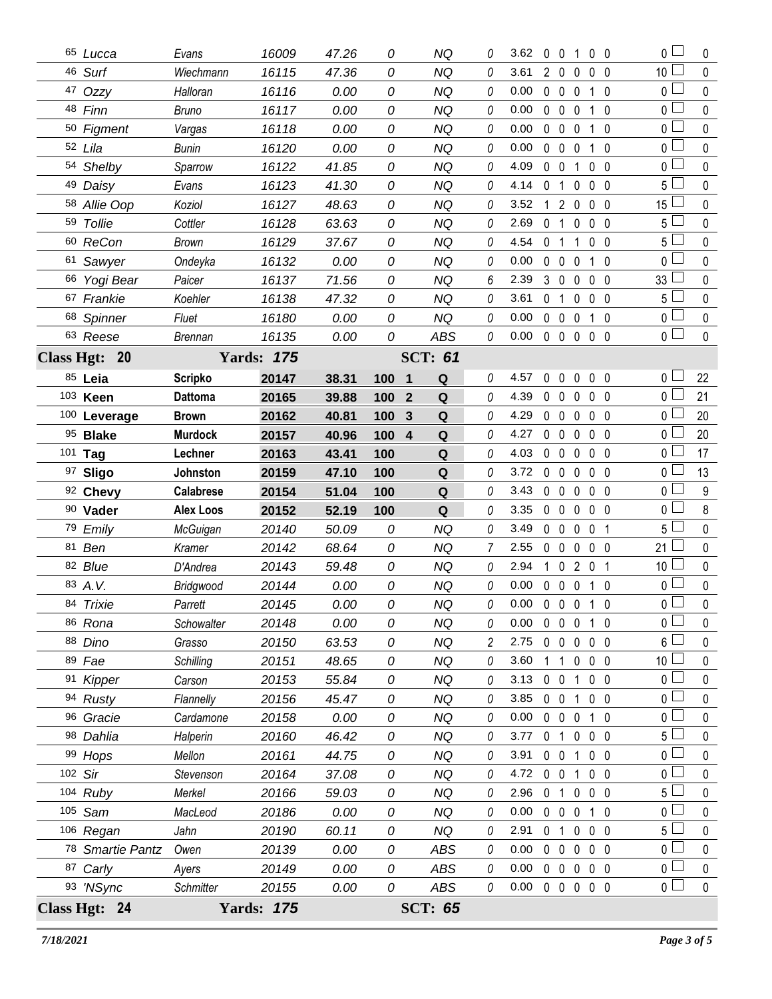| 65 Lucca         | Evans            | 16009             | 47.26 | 0   | ΝQ                  | 0        | 3.62                       | $0\quad 0$              |                | 1                                      | $0\quad 0$     | 0 <sub>0</sub>    | 0           |
|------------------|------------------|-------------------|-------|-----|---------------------|----------|----------------------------|-------------------------|----------------|----------------------------------------|----------------|-------------------|-------------|
| 46 Surf          | Wiechmann        | 16115             | 47.36 | 0   | <b>NQ</b>           | 0        | 3.61                       | $\overline{2}$          | $\mathbf 0$    | $\mathbf 0$                            | $0\quad 0$     | 10 <sup>2</sup>   | 0           |
| 47 Ozzy          | Halloran         | 16116             | 0.00  | 0   | <b>NQ</b>           | 0        | 0.00                       | $\mathbf 0$             | $\mathbf 0$    | $\mathbf 0$<br>1                       | $\mathbf{0}$   | $\mathbf 0$       | 0           |
| 48 Finn          | Bruno            | 16117             | 0.00  | 0   | <b>NQ</b>           | 0        | 0.00                       | $\mathbf 0$             | $\mathbf 0$    | $\mathbf 0$<br>1                       | $\Omega$       | 0 <sup>2</sup>    | $\mathbf 0$ |
| 50 Figment       | Vargas           | 16118             | 0.00  | 0   | <b>NQ</b>           | 0        | 0.00                       | $\mathbf 0$             | $\mathbf 0$    | $\mathbf 0$<br>1                       | - 0            | 0 <sub>0</sub>    | 0           |
| 52 Lila          | <b>Bunin</b>     | 16120             | 0.00  | 0   | <b>NQ</b>           | 0        | 0.00                       | $\mathbf 0$             | $\mathbf 0$    | $\mathbf 0$                            | $1\quad0$      | 0 <sub>0</sub>    | $\mathbf 0$ |
| 54 Shelby        | Sparrow          | 16122             | 41.85 | 0   | <b>NQ</b>           | 0        | 4.09                       | $\mathbf 0$             | $\mathbf 0$    | 1                                      | $0\quad 0$     | 0 <sub>0</sub>    | 0           |
| 49 Daisy         | Evans            | 16123             | 41.30 | 0   | <b>NQ</b>           | 0        | 4.14                       | $\overline{\mathbf{0}}$ | $\overline{1}$ | $\mathbf 0$                            | $0\quad 0$     | 5 <sub>1</sub>    | $\mathbf 0$ |
| 58 Allie Oop     | Koziol           | 16127             | 48.63 | 0   | <b>NQ</b>           | 0        | 3.52                       | 1                       | 2              | $\mathbf 0$                            | $0\quad 0$     | 15 <sup>1</sup>   | 0           |
| 59 Tollie        | Cottler          | 16128             | 63.63 | 0   | <b>NQ</b>           | 0        | 2.69                       | $\mathbf 0$             | $\overline{1}$ | $\mathbf 0$                            | $0\quad 0$     | 5L                | $\mathbf 0$ |
| 60 ReCon         | Brown            | 16129             | 37.67 | 0   | <b>NQ</b>           | 0        | 4.54                       | 0 <sub>1</sub>          |                | $\mathbf{1}$                           | 0 <sub>0</sub> | $5\phantom{.0}$   | 0           |
| 61 Sawyer        | Ondeyka          | 16132             | 0.00  | 0   | <b>NQ</b>           | 0        | 0.00                       | $\mathbf 0$             | $\mathbf 0$    | $\mathbf 0$<br>$\mathbf{1}$            | 0              | 0 <sub>0</sub>    | $\mathbf 0$ |
| 66 Yogi Bear     | Paicer           | 16137             | 71.56 | 0   | NQ                  | 6        | 2.39                       | $\mathbf{3}$            | $\mathbf 0$    | $0\quad 0\quad 0$                      |                | 33                | 0           |
| 67 Frankie       | Koehler          | 16138             | 47.32 | 0   | <b>NQ</b>           | 0        | 3.61                       | $\mathbf 0$             | $\overline{1}$ | $\mathbf 0$                            | $0\quad 0$     | 5 <sub>1</sub>    | $\mathbf 0$ |
| 68 Spinner       | Fluet            | 16180             | 0.00  | 0   | <b>NQ</b>           | 0        | 0.00                       | $\mathbf 0$             | $\mathbf 0$    | $\mathbf 0$                            | 10             | 0 <sub>0</sub>    | 0           |
| 63 Reese         | <b>Brennan</b>   | 16135             | 0.00  | 0   | ABS                 | 0        | $0.00 \t0 \t0 \t0 \t0 \t0$ |                         |                |                                        |                | $\overline{0}$    | $\mathbf 0$ |
| Class Hgt: 20    |                  | <b>Yards: 175</b> |       |     | <b>SCT: 61</b>      |          |                            |                         |                |                                        |                |                   |             |
| 85 Leia          | <b>Scripko</b>   | 20147             | 38.31 | 100 | Q<br>1              | 0        | 4.57                       | 0                       | 0              | $\mathbf 0$                            | $0\quad 0$     | 0 l               | 22          |
| 103 Keen         | <b>Dattoma</b>   | 20165             | 39.88 | 100 | $\overline{2}$<br>Q | $\theta$ | 4.39                       | $\mathbf 0$             | $\mathbf 0$    | $\mathbf 0$                            | $0\quad 0$     | οl                | 21          |
| 100 Leverage     | <b>Brown</b>     | 20162             | 40.81 | 100 | 3<br>Q              | 0        | 4.29                       | $\mathbf 0$             | $\mathbf{0}$   | $\mathbf 0$                            | $0\quad 0$     | 0 l               | 20          |
| 95 Blake         | <b>Murdock</b>   | 20157             | 40.96 | 100 | 4<br>Q              | 0        | 4.27                       | $\mathbf 0$             | $\mathbf 0$    | $\mathbf 0$                            | $0\quad 0$     | 0 L               | 20          |
| 101 Tag          | Lechner          | 20163             | 43.41 | 100 | Q                   | 0        | 4.03                       | $\mathbf 0$             | $\mathbf 0$    | $\mathbf 0$                            | $0\quad 0$     | 0 L               | 17          |
| 97 Sligo         | Johnston         | 20159             | 47.10 | 100 | $\mathbf Q$         | 0        | $3.72 \quad 0$             |                         | $\mathbf 0$    | $\mathbf 0$                            | $0\quad 0$     | 0 L               | 13          |
| 92 Chevy         | <b>Calabrese</b> | 20154             | 51.04 | 100 | Q                   | 0        | 3.43                       | $\mathbf 0$             | $\mathbf{0}$   | $\mathbf 0$                            | 0 <sub>0</sub> | 0 l               | 9           |
| 90 Vader         | <b>Alex Loos</b> | 20152             | 52.19 | 100 | Q                   | 0        | 3.35                       | $\mathbf 0$             | $\mathbf 0$    | $\mathbf 0$                            | $0\quad 0$     | o L               | 8           |
| 79 Emily         | McGuigan         | 20140             | 50.09 | 0   | <b>NQ</b>           | 0        | 3.49                       | 0                       | $\mathbf 0$    | $\mathbf 0$<br>$\overline{\mathbf{0}}$ | $\overline{1}$ | $5^{\frac{1}{2}}$ | 0           |
| 81 Ben           | Kramer           | 20142             | 68.64 | 0   | <b>NQ</b>           | 7        | 2.55                       | $\mathbf 0$             | $\mathbf 0$    | $\mathbf 0$                            | $0\quad 0$     | 21                | $\mathbf 0$ |
| 82 Blue          | D'Andrea         | 20143             | 59.48 | 0   | NQ                  | 0        | 2.94                       | 1                       | $\mathbf 0$    | 201                                    |                | 10 <sup>°</sup>   | 0           |
| 83 A.V.          | Bridgwood        | 20144             | 0.00  | 0   | <b>NQ</b>           | 0        | 0.00                       | $\mathbf 0$             | $\mathbf 0$    | $\mathbf 0$                            | $1\quad0$      | 0 <sup>2</sup>    | $\mathbf 0$ |
| 84 Trixie        | Parrett          | 20145             | 0.00  | 0   | NQ                  | 0        | 0.00                       |                         | 0 0 0 1 0      |                                        |                | $\mathbf 0$       | 0           |
| 86 Rona          | Schowalter       | 20148             | 0.00  | 0   | <b>NQ</b>           | 0        | 0.00                       |                         | 0 0 0 1 0      |                                        |                | οl                | 0           |
| 88 Dino          | Grasso           | 20150             | 63.53 | 0   | <b>NQ</b>           | 2        | 2.75                       | $\mathbf{0}$            | 0              | $0\quad 0\quad 0$                      |                | 6                 | 0           |
| 89 Fae           | Schilling        | 20151             | 48.65 | 0   | <b>NQ</b>           | 0        | 3.60                       | -1                      | 1              | $0\quad 0\quad 0$                      |                | 10 <sup>1</sup>   | 0           |
| 91 Kipper        | Carson           | 20153             | 55.84 | 0   | <b>NQ</b>           | 0        | 3.13                       | $\mathbf 0$             | 0              | 1                                      | $0\quad 0$     | $\mathbf 0$       | 0           |
| 94 Rusty         | Flannelly        | 20156             | 45.47 | 0   | <b>NQ</b>           | 0        | 3.85                       | $0\quad 0$              |                | 1                                      | $0\quad 0$     | $\mathbf 0$       | 0           |
| 96 Gracie        | Cardamone        | 20158             | 0.00  | 0   | <b>NQ</b>           | 0        | 0.00                       | $0\quad 0$              |                | $\mathbf 0$                            | 10             | $\mathbf 0$       | 0           |
| 98 Dahlia        | Halperin         | 20160             | 46.42 | 0   | <b>NQ</b>           | 0        | 3.77                       | $\overline{0}$          | $\overline{1}$ | $0\quad 0\quad 0$                      |                | 5 l               | 0           |
| 99 Hops          | Mellon           | 20161             | 44.75 | 0   | <b>NQ</b>           | 0        | 3.91                       | $\mathbf{0}$            | $\mathbf 0$    | 1                                      | $0\quad 0$     | 0 <sup>2</sup>    | 0           |
| 102 Sir          | Stevenson        | 20164             | 37.08 | 0   | <b>NQ</b>           | 0        | 4.72 $0\ 0$                |                         |                | 1                                      | $0\quad 0$     | $0\perp$          | 0           |
| 104 Ruby         | Merkel           | 20166             | 59.03 | 0   | <b>NQ</b>           | 0        | 2.96                       | 0 <sub>1</sub>          |                | $0\,0\,0$                              |                | $5^{\frac{1}{2}}$ | 0           |
| 105 Sam          | MacLeod          | 20186             | 0.00  | 0   | <b>NQ</b>           | 0        | 0.00                       | $0\quad 0$              |                | $\mathbf 0$                            | 1 0            | $\mathbf 0$       | 0           |
| 106 Regan        | Jahn             | 20190             | 60.11 | 0   | <b>NQ</b>           | 0        | 2.91                       | 0 <sub>1</sub>          |                | $0\quad 0\quad 0$                      |                | 5 <sup>1</sup>    | 0           |
| 78 Smartie Pantz | Owen             | 20139             | 0.00  | 0   | ABS                 | 0        | 0.00                       | $0\quad 0$              |                | $0\quad 0\quad 0$                      |                | $\mathbf 0$       | 0           |
| 87 Carly         | Ayers            | 20149             | 0.00  | 0   | ABS                 | 0        | 0.00                       | $0\quad 0$              |                | $0\quad 0\quad 0$                      |                | 0                 | 0           |
| 93 'NSync        | Schmitter        | 20155             | 0.00  | 0   | ABS                 | 0        | $0.00 \t 0 \t 0$           |                         |                | $0\quad 0\quad 0$                      |                | οl                | $\mathbf 0$ |
| Class Hgt: 24    |                  | <b>Yards: 175</b> |       |     | <b>SCT: 65</b>      |          |                            |                         |                |                                        |                |                   |             |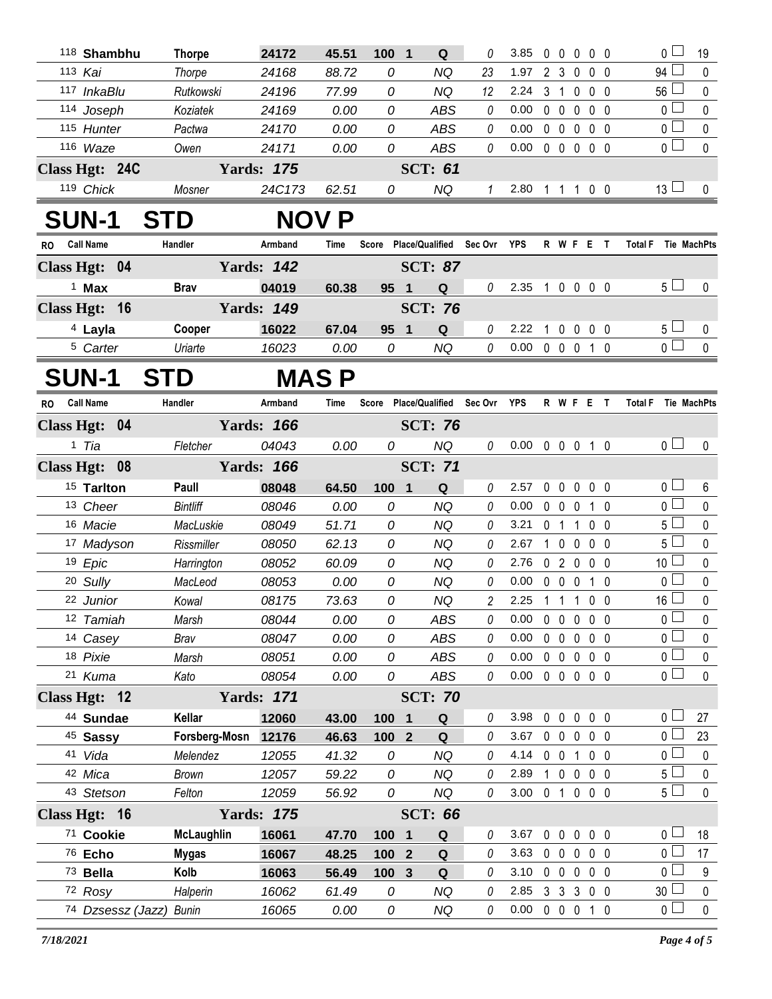|           | 118 Shambhu             | <b>Thorpe</b>     | 24172             | 45.51 | 100          | $\blacksquare$<br>Q                    |    | 3.85           | $\mathbf 0$ | $\overline{\mathbf{0}}$ |              | $0\quad 0\quad 0$ | 0 <sub>1</sub>      | 19               |
|-----------|-------------------------|-------------------|-------------------|-------|--------------|----------------------------------------|----|----------------|-------------|-------------------------|--------------|-------------------|---------------------|------------------|
|           | 113 Kai                 | Thorpe            | 24168             | 88.72 | 0            | ΝQ                                     | 23 | 1.97           |             | 2 <sub>3</sub>          | $\mathbf 0$  | 0 <sub>0</sub>    | 94 $\Box$           | $\mathbf 0$      |
|           | 117 InkaBlu             | Rutkowski         | 24196             | 77.99 | 0            | <b>NQ</b>                              | 12 | 2.24           |             | $3 \quad 1$             |              | $0\quad 0\quad 0$ | 56 $\lfloor$        | 0                |
|           | 114 Joseph              | Koziatek          | 24169             | 0.00  | 0            | <b>ABS</b>                             | 0  | 0.00           |             | $0\quad 0\quad 0$       |              | $0\quad 0$        | 0 <sup>1</sup>      | $\pmb{0}$        |
|           | 115 Hunter              | Pactwa            | 24170             | 0.00  | 0            | <b>ABS</b>                             | 0  | 0.00           |             |                         |              | 00000             | $\overline{0}$      | 0                |
|           | 116 Waze                | Owen              | 24171             | 0.00  | 0            | <b>ABS</b>                             | 0  | 0.00           |             |                         |              | 00000             | 0 <sub>1</sub>      | $\mathbf 0$      |
|           | Class Hgt: 24C          |                   | <b>Yards: 175</b> |       |              | <b>SCT: 61</b>                         |    |                |             |                         |              |                   |                     |                  |
|           | 119 Chick               | Mosner            | 24C173            | 62.51 | 0            | NQ                                     | 1  | 2.80 1 1 1 0 0 |             |                         |              |                   | $13\sqcup$          | 0                |
|           | <b>SUN-1</b>            | <b>STD</b>        |                   | NOV P |              |                                        |    |                |             |                         |              |                   |                     |                  |
| <b>RO</b> | <b>Call Name</b>        | Handler           | Armband           | Time  | <b>Score</b> | Place/Qualified Sec Ovr                |    | <b>YPS</b>     |             |                         |              | R W F E T         | Total F Tie MachPts |                  |
|           | Class Hgt: 04           |                   | <b>Yards: 142</b> |       |              | <b>SCT: 87</b>                         |    |                |             |                         |              |                   |                     |                  |
|           | $1$ Max                 | <b>Brav</b>       | 04019             | 60.38 | 95 1         | Q                                      | 0  | 2.35           |             |                         |              | 1 0 0 0 0         | $5 \Box$            | 0                |
|           | Class Hgt: 16           |                   | <b>Yards: 149</b> |       |              | <b>SCT: 76</b>                         |    |                |             |                         |              |                   |                     |                  |
|           | <sup>4</sup> Layla      | Cooper            | 16022             | 67.04 | 95 1         | Q                                      | 0  | 2.22           | 1           |                         |              | 0 0 0 0           | $5 \perp$           | 0                |
|           | <sup>5</sup> Carter     | Uriarte           | 16023             | 0.00  | 0            | <b>NQ</b>                              | 0  | 0.00           |             | $0\quad 0\quad 0$       |              | 10                | $\overline{0}$      | $\mathbf 0$      |
|           | <b>SUN-1</b>            | <b>STD</b>        |                   | MAS P |              |                                        |    |                |             |                         |              |                   |                     |                  |
| RO.       | <b>Call Name</b>        | Handler           | Armband           | Time  |              | Score Place/Qualified Sec Ovr YPS      |    |                |             |                         |              | R W F E T         | Total F Tie MachPts |                  |
|           | Class Hgt: 04           |                   | <b>Yards: 166</b> |       |              | <b>SCT: 76</b>                         |    |                |             |                         |              |                   |                     |                  |
|           | 1 Tia                   | Fletcher          | 04043             | 0.00  | 0            | NQ                                     | 0  | 0.00           |             |                         |              | 0 0 0 1 0         | 0 <sub>l</sub>      | 0                |
|           | Class Hgt: 08           |                   | <b>Yards: 166</b> |       |              | <b>SCT: 71</b>                         |    |                |             |                         |              |                   |                     |                  |
|           | <sup>15</sup> Tarlton   | Paull             | 08048             | 64.50 | 100          | $\overline{1}$<br>Q                    | 0  | 2.57           | 0           | $\mathbf 0$             | $\mathbf 0$  | 0 <sub>0</sub>    | 0 <sub>0</sub>      | 6                |
|           | 13 Cheer                | <b>Bintliff</b>   | 08046             | 0.00  | 0            | ΝQ                                     | 0  | 0.00           |             | $0\quad 0$              | 0            | 10                | 0 <sub>1</sub>      | 0                |
|           | 16 Macie                | MacLuskie         | 08049             | 51.71 | 0            | <b>NQ</b>                              | 0  | 3.21           | 0           | $\overline{1}$          | 1            | 0 <sub>0</sub>    | 5 l                 | 0                |
|           | 17 Madyson              | Rissmiller        | 08050             | 62.13 | 0            | ΝQ                                     | 0  | 2.67           |             | $1\quad 0$              | 0            | 0 <sub>0</sub>    | 5 L                 | $\mathbf 0$      |
|           | 19 Epic                 | Harrington        | 08052             | 60.09 | 0            | <b>NQ</b>                              | 0  | 2.76           |             | 020                     |              | 0 <sub>0</sub>    | 10                  | $\mathbf 0$      |
|           | 20 Sully                | MacLeod           | 08053             | 0.00  | 0            | <b>NQ</b>                              | 0  | 0.00           | 0           | $\mathbf 0$             | $\mathbf{0}$ | $1\quad0$         | $\Omega$            | 0                |
|           | 22 Junior               | Kowal             | 08175             | 73.63 | 0            | <b>NQ</b>                              | 2  | 2.25           | $1\quad1$   |                         | 1            | 0 <sub>0</sub>    | 16                  | $\mathbf 0$      |
|           | 12 Tamiah               | Marsh             | 08044             | 0.00  | 0            | <b>ABS</b>                             | 0  | 0.00           | 0           | $\mathbf 0$             | $\mathbf 0$  | 0 <sub>0</sub>    | $\overline{0}$      | 0                |
|           | 14 Casey                | Brav              | 08047             | 0.00  | 0            | ABS                                    | 0  | 0.00           | $\mathbf 0$ | $\mathbf 0$             | 0            | 0 <sub>0</sub>    | 0 L                 | 0                |
|           | 18 Pixie                | Marsh             | 08051             | 0.00  | 0            | ABS                                    | 0  | 0.00           |             | $0\quad 0$              | $\mathbf 0$  | $0\quad 0$        | 0 L                 | 0                |
|           | 21 Kuma                 | Kato              | 08054             | 0.00  | 0            | ABS                                    | 0  | 0.00           |             | $0\quad 0\quad 0$       |              | 0 <sub>0</sub>    | 0 <sub>0</sub>      | 0                |
|           | Class Hgt: 12           |                   | <b>Yards: 171</b> |       |              | <b>SCT: 70</b>                         |    |                |             |                         |              |                   |                     |                  |
|           | 44 Sundae               | Kellar            | 12060             | 43.00 | 100          | Q<br>$\mathbf 1$                       | 0  | 3.98           | $\mathbf 0$ | $\mathbf 0$             | $\mathbf 0$  | $0\quad 0$        | 0 L                 | 27               |
|           | <sup>45</sup> Sassy     | Forsberg-Mosn     | 12176             | 46.63 | 100          | $\overline{2}$<br>Q                    | 0  | 3.67           |             | $0\quad 0$              | $\mathbf 0$  | 0 <sub>0</sub>    | οl                  | 23               |
|           | 41 Vida                 | Melendez          | 12055             | 41.32 | 0            | NQ                                     | 0  | 4.14           |             | $0\quad 0$              | $\mathbf{1}$ | 0 <sub>0</sub>    | οl                  | 0                |
|           | 42 Mica                 | <b>Brown</b>      | 12057             | 59.22 | 0            | NQ                                     | 0  | 2.89           |             | $1\quad 0$              | $\mathbf 0$  | 0 <sub>0</sub>    | 5 l                 | 0                |
|           | 43 Stetson              | Felton            | 12059             | 56.92 | 0            | NQ                                     | 0  | 3.00           |             |                         |              | 0 1 0 0 0         | $5+$                | $\pmb{0}$        |
|           | Class Hgt: 16           |                   | <b>Yards: 175</b> |       |              | <b>SCT: 66</b>                         |    |                |             |                         |              |                   |                     |                  |
|           | 71 Cookie               | <b>McLaughlin</b> | 16061             | 47.70 | 100          | $\overline{\mathbf{1}}$<br>$\mathbf Q$ | 0  | 3.67           | $\mathbf 0$ | $\mathbf 0$             | $\mathbf 0$  | $0\quad 0$        | $\overline{0}$      | 18               |
|           | 76 Echo                 | Mygas             | 16067             | 48.25 | 100 2        | Q                                      | 0  | 3.63           |             | $0\quad 0$              | $\mathbf 0$  | $0\quad 0$        | $\overline{0}$      | 17               |
|           | 73 Bella                | Kolb              | 16063             | 56.49 | 100          | $\mathbf{3}$<br>Q                      | 0  | 3.10           |             | $0\quad 0$              | $\mathbf 0$  | $0\quad 0$        | 0 <sub>0</sub>      | $\boldsymbol{9}$ |
|           | 72 Rosy                 | Halperin          | 16062             | 61.49 | 0            | NQ                                     | 0  | 2.85           |             |                         |              | 3 3 3 0 0         | 30 <sup>2</sup>     | 0                |
|           | 74 Dzsessz (Jazz) Bunin |                   | 16065             | 0.00  | 0            | <b>NQ</b>                              | 0  | 0.00           |             | $0\quad 0\quad 0$       |              | $1\quad0$         | 0 <sub>1</sub>      | $\pmb{0}$        |